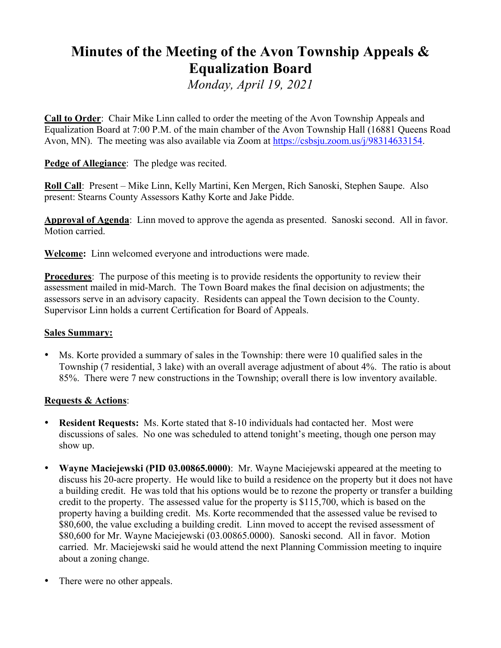# **Minutes of the Meeting of the Avon Township Appeals & Equalization Board**

*Monday, April 19, 2021*

**Call to Order**: Chair Mike Linn called to order the meeting of the Avon Township Appeals and Equalization Board at 7:00 P.M. of the main chamber of the Avon Township Hall (16881 Queens Road Avon, MN). The meeting was also available via Zoom at https://csbsju.zoom.us/j/98314633154.

**Pedge of Allegiance**: The pledge was recited.

**Roll Call**: Present – Mike Linn, Kelly Martini, Ken Mergen, Rich Sanoski, Stephen Saupe. Also present: Stearns County Assessors Kathy Korte and Jake Pidde.

**Approval of Agenda**: Linn moved to approve the agenda as presented. Sanoski second. All in favor. Motion carried.

**Welcome:** Linn welcomed everyone and introductions were made.

**Procedures**: The purpose of this meeting is to provide residents the opportunity to review their assessment mailed in mid-March. The Town Board makes the final decision on adjustments; the assessors serve in an advisory capacity. Residents can appeal the Town decision to the County. Supervisor Linn holds a current Certification for Board of Appeals.

## **Sales Summary:**

• Ms. Korte provided a summary of sales in the Township: there were 10 qualified sales in the Township (7 residential, 3 lake) with an overall average adjustment of about 4%. The ratio is about 85%. There were 7 new constructions in the Township; overall there is low inventory available.

## **Requests & Actions**:

- **Resident Requests:** Ms. Korte stated that 8-10 individuals had contacted her. Most were discussions of sales. No one was scheduled to attend tonight's meeting, though one person may show up.
- **Wayne Maciejewski (PID 03.00865.0000)**: Mr. Wayne Maciejewski appeared at the meeting to discuss his 20-acre property. He would like to build a residence on the property but it does not have a building credit. He was told that his options would be to rezone the property or transfer a building credit to the property. The assessed value for the property is \$115,700, which is based on the property having a building credit. Ms. Korte recommended that the assessed value be revised to \$80,600, the value excluding a building credit. Linn moved to accept the revised assessment of \$80,600 for Mr. Wayne Maciejewski (03.00865.0000). Sanoski second. All in favor. Motion carried. Mr. Maciejewski said he would attend the next Planning Commission meeting to inquire about a zoning change.
- There were no other appeals.